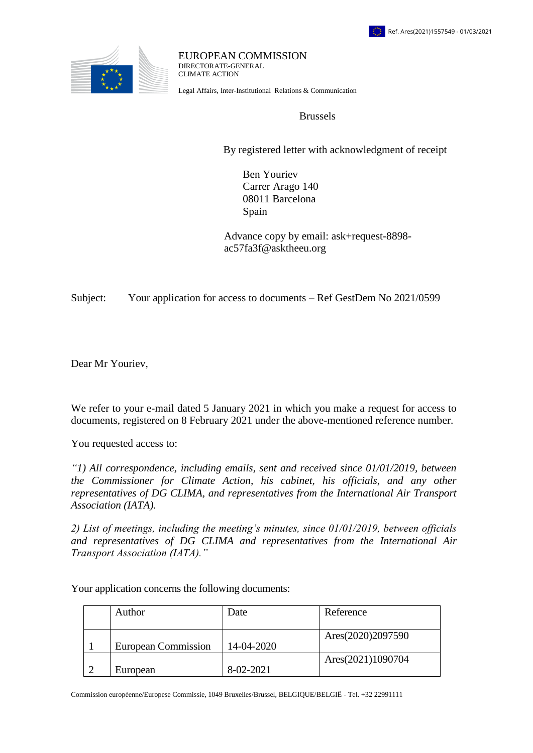

EUROPEAN COMMISSION DIRECTORATE-GENERAL CLIMATE ACTION

Legal Affairs, Inter-Institutional Relations & Communication

Brussels

By registered letter with acknowledgment of receipt

 Ben Youriev Carrer Arago 140 08011 Barcelona Spain

 Advance copy by email: ask+request-8898 ac57fa3f@asktheeu.org

Subject: Your application for access to documents – Ref GestDem No 2021/0599

Dear Mr Youriev,

We refer to your e-mail dated 5 January 2021 in which you make a request for access to documents, registered on 8 February 2021 under the above-mentioned reference number.

You requested access to:

*"1) All correspondence, including emails, sent and received since 01/01/2019, between the Commissioner for Climate Action, his cabinet, his officials, and any other representatives of DG CLIMA, and representatives from the International Air Transport Association (IATA).*

*2) List of meetings, including the meeting's minutes, since 01/01/2019, between officials and representatives of DG CLIMA and representatives from the International Air Transport Association (IATA)."*

Author Date Reference 1 European Commission 14-04-2020 Ares(2020)2097590 2 European 8-02-2021 Ares(2021)1090704

Your application concerns the following documents:

Commission européenne/Europese Commissie, 1049 Bruxelles/Brussel, BELGIQUE/BELGIË - Tel. +32 22991111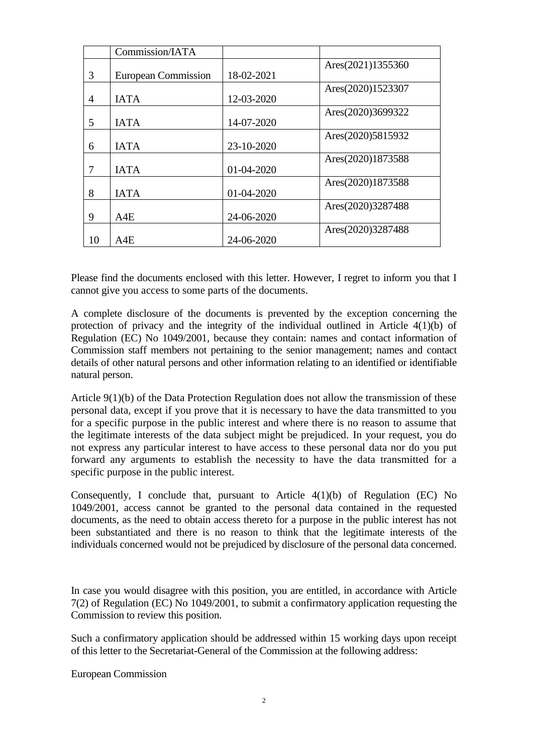|    | Commission/IATA            |            |                   |
|----|----------------------------|------------|-------------------|
| 3  | <b>European Commission</b> | 18-02-2021 | Ares(2021)1355360 |
| 4  | <b>IATA</b>                | 12-03-2020 | Ares(2020)1523307 |
| 5  | <b>IATA</b>                | 14-07-2020 | Ares(2020)3699322 |
| 6  | <b>IATA</b>                | 23-10-2020 | Ares(2020)5815932 |
| 7  | <b>IATA</b>                | 01-04-2020 | Ares(2020)1873588 |
| 8  | <b>IATA</b>                | 01-04-2020 | Ares(2020)1873588 |
| 9  | A4E                        | 24-06-2020 | Ares(2020)3287488 |
| 10 | A4E                        | 24-06-2020 | Ares(2020)3287488 |

Please find the documents enclosed with this letter. However, I regret to inform you that I cannot give you access to some parts of the documents.

A complete disclosure of the documents is prevented by the exception concerning the protection of privacy and the integrity of the individual outlined in Article 4(1)(b) of Regulation (EC) No 1049/2001, because they contain: names and contact information of Commission staff members not pertaining to the senior management; names and contact details of other natural persons and other information relating to an identified or identifiable natural person.

Article 9(1)(b) of the Data Protection Regulation does not allow the transmission of these personal data, except if you prove that it is necessary to have the data transmitted to you for a specific purpose in the public interest and where there is no reason to assume that the legitimate interests of the data subject might be prejudiced. In your request, you do not express any particular interest to have access to these personal data nor do you put forward any arguments to establish the necessity to have the data transmitted for a specific purpose in the public interest.

Consequently, I conclude that, pursuant to Article  $4(1)(b)$  of Regulation (EC) No 1049/2001, access cannot be granted to the personal data contained in the requested documents, as the need to obtain access thereto for a purpose in the public interest has not been substantiated and there is no reason to think that the legitimate interests of the individuals concerned would not be prejudiced by disclosure of the personal data concerned.

In case you would disagree with this position, you are entitled, in accordance with Article 7(2) of Regulation (EC) No 1049/2001, to submit a confirmatory application requesting the Commission to review this position.

Such a confirmatory application should be addressed within 15 working days upon receipt of this letter to the Secretariat-General of the Commission at the following address:

European Commission